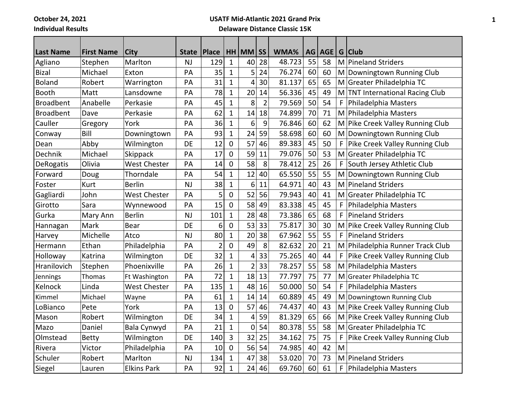**October 24, 2021**

**Individual Results**

## **USATF Mid-Atlantic 2021 Grand Prix Delaware Distance Classic 15K**

| <b>Last Name</b> | <b>First Name</b> | <b>City</b>         | <b>State</b> | Place          |              | HH MM          | <b>SS</b>      | WMA%   | AG | AGE | G | <b>Club</b>                      |
|------------------|-------------------|---------------------|--------------|----------------|--------------|----------------|----------------|--------|----|-----|---|----------------------------------|
| Agliano          | Stephen           | Marlton             | <b>NJ</b>    | 129            | $\mathbf{1}$ | 40             | 28             | 48.723 | 55 | 58  | M | Pineland Striders                |
| <b>Bizal</b>     | Michael           | Exton               | PA           | 35             | $\mathbf{1}$ | 5              | 24             | 76.274 | 60 | 60  | M | Downingtown Running Club         |
| <b>Boland</b>    | Robert            | Warrington          | PA           | 31             | $\mathbf{1}$ | 4              | 30             | 81.137 | 65 | 65  |   | M Greater Philadelphia TC        |
| Booth            | Matt              | Lansdowne           | PA           | 78             | $\mathbf 1$  | 20             | 14             | 56.336 | 45 | 49  |   | M TNT International Racing Club  |
| <b>Broadbent</b> | Anabelle          | Perkasie            | PA           | 45             | $\mathbf{1}$ | 8              | $\overline{2}$ | 79.569 | 50 | 54  | F | Philadelphia Masters             |
| <b>Broadbent</b> | Dave              | Perkasie            | PA           | 62             | $\mathbf{1}$ | 14             | 18             | 74.899 | 70 | 71  | M | Philadelphia Masters             |
| Cauller          | Gregory           | York                | PA           | 36             | $\mathbf 1$  | 6              | 9              | 76.846 | 60 | 62  |   | M Pike Creek Valley Running Club |
| Conway           | Bill              | Downingtown         | PA           | 93             | $\mathbf{1}$ | 24             | 59             | 58.698 | 60 | 60  | M | Downingtown Running Club         |
| Dean             | Abby              | Wilmington          | DE           | 12             | $\mathbf 0$  | 57             | 46             | 89.383 | 45 | 50  | F | Pike Creek Valley Running Club   |
| Dechnik          | Michael           | Skippack            | PA           | 17             | $\mathbf 0$  | 59             | 11             | 79.076 | 50 | 53  | M | Greater Philadelphia TC          |
| DeRogatis        | Olivia            | <b>West Chester</b> | PA           | 14             | $\mathbf 0$  | 58             | 8              | 78.412 | 25 | 26  | F | South Jersey Athletic Club       |
| Forward          | Doug              | Thorndale           | PA           | 54             | $\mathbf{1}$ | 12             | 40             | 65.550 | 55 | 55  | M | Downingtown Running Club         |
| Foster           | Kurt              | <b>Berlin</b>       | <b>NJ</b>    | 38             | $\mathbf{1}$ | 6              | 11             | 64.971 | 40 | 43  | M | Pineland Striders                |
| Gagliardi        | John              | <b>West Chester</b> | PA           | 5              | 0            | 52             | 56             | 79.943 | 40 | 41  | M | Greater Philadelphia TC          |
| Girotto          | Sara              | Wynnewood           | PA           | 15             | $\pmb{0}$    | 58             | 49             | 83.338 | 45 | 45  | F | Philadelphia Masters             |
| Gurka            | Mary Ann          | <b>Berlin</b>       | <b>NJ</b>    | 101            | $\mathbf{1}$ | 28             | 48             | 73.386 | 65 | 68  | F | <b>Pineland Striders</b>         |
| Hannagan         | Mark              | <b>Bear</b>         | DE           | 6              | $\mathbf 0$  | 53             | 33             | 75.817 | 30 | 30  | M | Pike Creek Valley Running Club   |
| Harvey           | Michelle          | Atco                | <b>NJ</b>    | 80             | $\mathbf{1}$ | 20             | 38             | 67.962 | 55 | 55  | F | <b>Pineland Striders</b>         |
| Hermann          | Ethan             | Philadelphia        | PA           | $\overline{c}$ | 0            | 49             | 8              | 82.632 | 20 | 21  |   | M Philadelphia Runner Track Club |
| Holloway         | Katrina           | Wilmington          | DE           | 32             | $\mathbf 1$  | 4              | 33             | 75.265 | 40 | 44  | F | Pike Creek Valley Running Club   |
| Hranilovich      | Stephen           | Phoenixville        | PA           | 26             | $\mathbf{1}$ | $\overline{2}$ | 33             | 78.257 | 55 | 58  | M | Philadelphia Masters             |
| Jennings         | Thomas            | Ft Washington       | PA           | 72             | $\mathbf 1$  | 18             | 13             | 77.797 | 75 | 77  | M | Greater Philadelphia TC          |
| Kelnock          | Linda             | <b>West Chester</b> | PA           | 135            | $\mathbf 1$  | 48             | 16             | 50.000 | 50 | 54  | F | Philadelphia Masters             |
| Kimmel           | Michael           | Wayne               | PA           | 61             | $\mathbf{1}$ | 14             | 14             | 60.889 | 45 | 49  | M | Downingtown Running Club         |
| LoBianco         | Pete              | York                | PA           | 13             | $\mathbf 0$  | 57             | 46             | 74.437 | 40 | 43  | M | Pike Creek Valley Running Club   |
| Mason            | Robert            | Wilmington          | DE           | 34             | $\mathbf 1$  | 4              | 59             | 81.329 | 65 | 66  |   | M Pike Creek Valley Running Club |
| Mazo             | Daniel            | Bala Cynwyd         | PA           | 21             | $\mathbf{1}$ | 0              | 54             | 80.378 | 55 | 58  | M | Greater Philadelphia TC          |
| Olmstead         | <b>Betty</b>      | Wilmington          | DE           | 140            | 3            | 32             | 25             | 34.162 | 75 | 75  | F | Pike Creek Valley Running Club   |
| Rivera           | Victor            | Philadelphia        | PA           | 10             | $\mathbf 0$  | 56             | 54             | 74.985 | 40 | 42  | M |                                  |
| Schuler          | Robert            | Marlton             | <b>NJ</b>    | 134            | $\mathbf{1}$ | 47             | 38             | 53.020 | 70 | 73  | M | <b>Pineland Striders</b>         |
| Siegel           | Lauren            | <b>Elkins Park</b>  | PA           | 92             | $\mathbf{1}$ | 24             | 46             | 69.760 | 60 | 61  | F | Philadelphia Masters             |